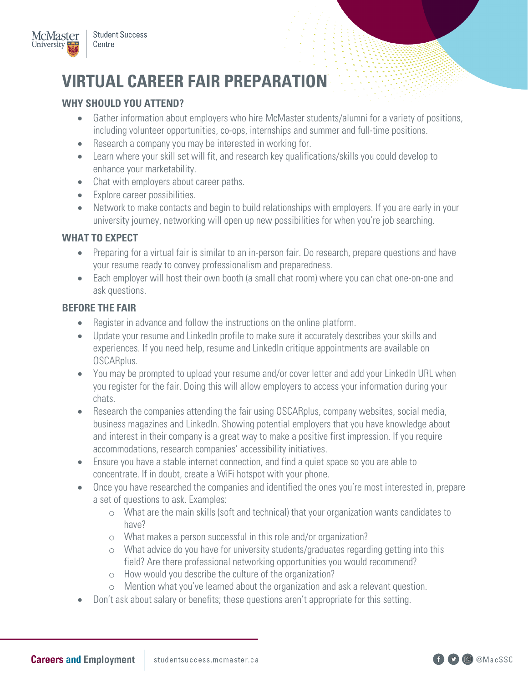

# **VIRTUAL CAREER FAIR PREPARATION WHY SHOULD YOU ATTEND?**

- including volunteer opportunities, co-ops, internships and summer and full-time positions. • Gather information about employers who hire McMaster students/alumni for a variety of positions,
- Research a company you may be interested in working for.
- • Learn where your skill set will fit, and research key qualifications/skills you could develop to enhance your marketability.
- Chat with employers about career paths.
- Explore career possibilities.
- university journey, networking will open up new possibilities for when you're job searching. • Network to make contacts and begin to build relationships with employers. If you are early in your

# **WHAT TO EXPECT**

- your resume ready to convey professionalism and preparedness. • Preparing for a virtual fair is similar to an in-person fair. Do research, prepare questions and have
- Each employer will host their own booth (a small chat room) where you can chat one-on-one and ask questions.

### **BEFORE THE FAIR**

- Register in advance and follow the instructions on the online platform.
- Update your resume and LinkedIn profile to make sure it accurately describes your skills and experiences. If you need help, resume and LinkedIn critique appointments are available on OSCARplus.
- You may be prompted to upload your resume and/or cover letter and add your LinkedIn URL when you register for the fair. Doing this will allow employers to access your information during your chats.
- and interest in their company is a great way to make a positive first impression. If you require accommodations, research companies' accessibility initiatives. • Research the companies attending the fair using OSCARplus, company websites, social media, business magazines and LinkedIn. Showing potential employers that you have knowledge about
- Ensure you have a stable internet connection, and find a quiet space so you are able to concentrate. If in doubt, create a WiFi hotspot with your phone.
- a set of questions to ask. Examples: • Once you have researched the companies and identified the ones you're most interested in, prepare
	- o What are the main skills (soft and technical) that your organization wants candidates to have?
	- o What makes a person successful in this role and/or organization?
	- o What advice do you have for university students/graduates regarding getting into this field? Are there professional networking opportunities you would recommend?
	- o How would you describe the culture of the organization?
	- o Mention what you've learned about the organization and ask a relevant question.
- Don't ask about salary or benefits; these questions aren't appropriate for this setting.